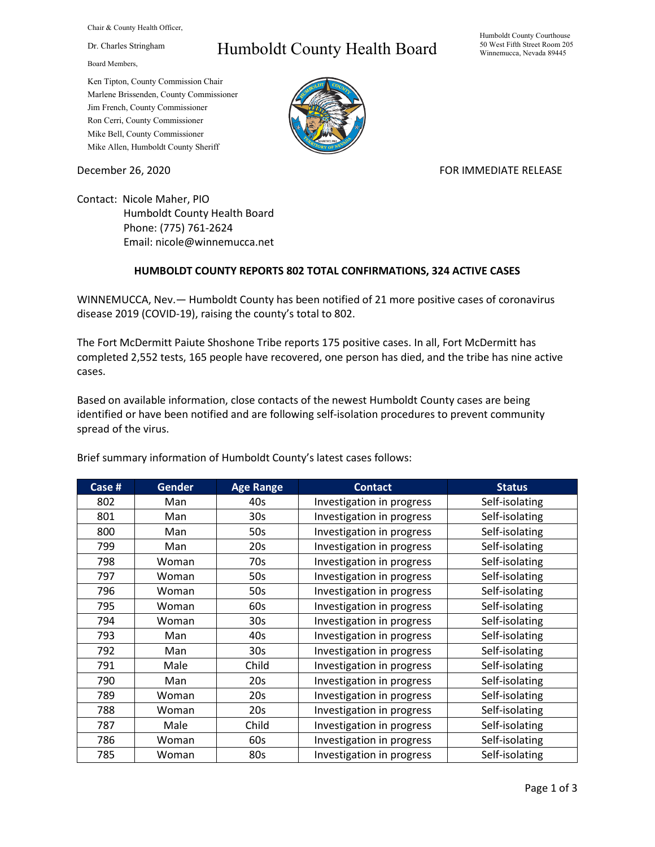Chair & County Health Officer,

Dr. Charles Stringham

Board Members,

## Humboldt County Health Board

Humboldt County Courthouse 50 West Fifth Street Room 205 Winnemucca, Nevada 89445

Ken Tipton, County Commission Chair Marlene Brissenden, County Commissioner Jim French, County Commissioner Ron Cerri, County Commissioner Mike Bell, County Commissioner Mike Allen, Humboldt County Sheriff

December 26, 2020 **FOR IMMEDIATE RELEASE** 

Contact: Nicole Maher, PIO Humboldt County Health Board Phone: (775) 761-2624 Email: nicole@winnemucca.net

## **HUMBOLDT COUNTY REPORTS 802 TOTAL CONFIRMATIONS, 324 ACTIVE CASES**

WINNEMUCCA, Nev.— Humboldt County has been notified of 21 more positive cases of coronavirus disease 2019 (COVID-19), raising the county's total to 802.

The Fort McDermitt Paiute Shoshone Tribe reports 175 positive cases. In all, Fort McDermitt has completed 2,552 tests, 165 people have recovered, one person has died, and the tribe has nine active cases.

Based on available information, close contacts of the newest Humboldt County cases are being identified or have been notified and are following self-isolation procedures to prevent community spread of the virus.

| Case # | <b>Gender</b> | <b>Age Range</b> | <b>Contact</b>            | <b>Status</b>  |
|--------|---------------|------------------|---------------------------|----------------|
| 802    | Man           | 40s              | Investigation in progress | Self-isolating |
| 801    | Man           | 30s              | Investigation in progress | Self-isolating |
| 800    | Man           | 50s              | Investigation in progress | Self-isolating |
| 799    | Man           | 20s              | Investigation in progress | Self-isolating |
| 798    | Woman         | 70s              | Investigation in progress | Self-isolating |
| 797    | Woman         | 50s              | Investigation in progress | Self-isolating |
| 796    | Woman         | 50s              | Investigation in progress | Self-isolating |
| 795    | Woman         | 60s              | Investigation in progress | Self-isolating |
| 794    | Woman         | 30s              | Investigation in progress | Self-isolating |
| 793    | Man           | 40s              | Investigation in progress | Self-isolating |
| 792    | Man           | 30 <sub>s</sub>  | Investigation in progress | Self-isolating |
| 791    | Male          | Child            | Investigation in progress | Self-isolating |
| 790    | Man           | 20s              | Investigation in progress | Self-isolating |
| 789    | Woman         | 20s              | Investigation in progress | Self-isolating |
| 788    | Woman         | 20s              | Investigation in progress | Self-isolating |
| 787    | Male          | Child            | Investigation in progress | Self-isolating |
| 786    | Woman         | 60s              | Investigation in progress | Self-isolating |
| 785    | Woman         | 80s              | Investigation in progress | Self-isolating |

Brief summary information of Humboldt County's latest cases follows: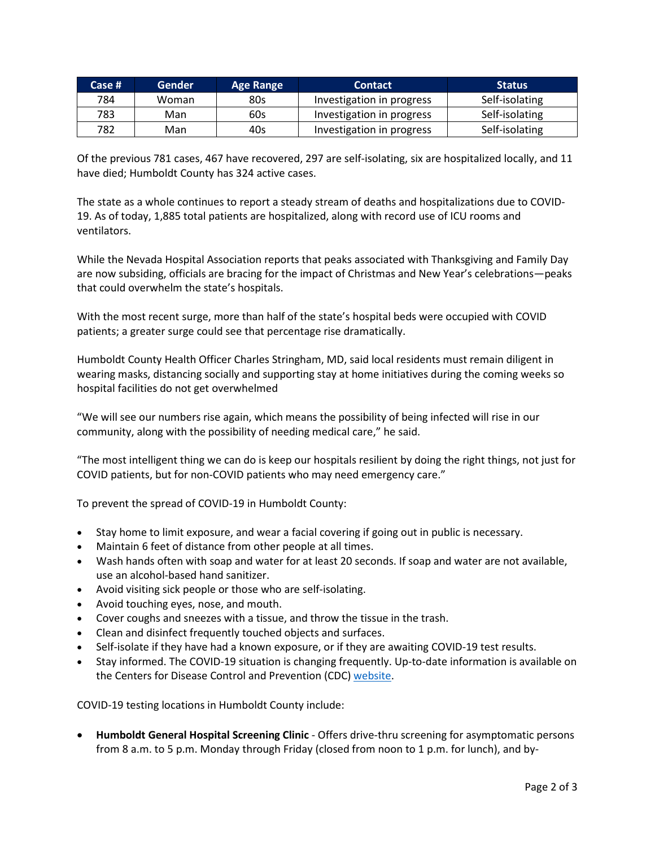| Case # | <b>Gender</b> | <b>Age Range</b> | <b>Contact</b>            | <b>Status</b>  |
|--------|---------------|------------------|---------------------------|----------------|
| 784    | Woman         | 80s              | Investigation in progress | Self-isolating |
| 783    | Man           | 60s              | Investigation in progress | Self-isolating |
| 782    | Man           | 40s              | Investigation in progress | Self-isolating |

Of the previous 781 cases, 467 have recovered, 297 are self-isolating, six are hospitalized locally, and 11 have died; Humboldt County has 324 active cases.

The state as a whole continues to report a steady stream of deaths and hospitalizations due to COVID-19. As of today, 1,885 total patients are hospitalized, along with record use of ICU rooms and ventilators.

While the Nevada Hospital Association reports that peaks associated with Thanksgiving and Family Day are now subsiding, officials are bracing for the impact of Christmas and New Year's celebrations—peaks that could overwhelm the state's hospitals.

With the most recent surge, more than half of the state's hospital beds were occupied with COVID patients; a greater surge could see that percentage rise dramatically.

Humboldt County Health Officer Charles Stringham, MD, said local residents must remain diligent in wearing masks, distancing socially and supporting stay at home initiatives during the coming weeks so hospital facilities do not get overwhelmed

"We will see our numbers rise again, which means the possibility of being infected will rise in our community, along with the possibility of needing medical care," he said.

"The most intelligent thing we can do is keep our hospitals resilient by doing the right things, not just for COVID patients, but for non-COVID patients who may need emergency care."

To prevent the spread of COVID-19 in Humboldt County:

- Stay home to limit exposure, and wear a facial covering if going out in public is necessary.
- Maintain 6 feet of distance from other people at all times.
- Wash hands often with soap and water for at least 20 seconds. If soap and water are not available, use an alcohol-based hand sanitizer.
- Avoid visiting sick people or those who are self-isolating.
- Avoid touching eyes, nose, and mouth.
- Cover coughs and sneezes with a tissue, and throw the tissue in the trash.
- Clean and disinfect frequently touched objects and surfaces.
- Self-isolate if they have had a known exposure, or if they are awaiting COVID-19 test results.
- Stay informed. The COVID-19 situation is changing frequently. Up-to-date information is available on the Centers for Disease Control and Prevention (CDC) [website.](http://www.cdc.gov/coronavirus/2019-ncov/index.html)

COVID-19 testing locations in Humboldt County include:

• **Humboldt General Hospital Screening Clinic** - Offers drive-thru screening for asymptomatic persons from 8 a.m. to 5 p.m. Monday through Friday (closed from noon to 1 p.m. for lunch), and by-